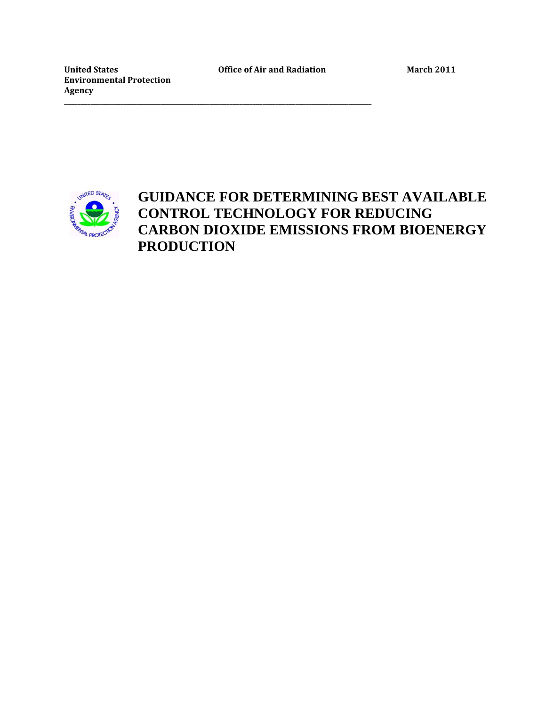United States **Office of Air and Radiation** March 2011

**\_\_\_\_\_\_\_\_\_\_\_\_\_\_\_\_\_\_\_\_\_\_\_\_\_\_\_\_\_\_\_\_\_\_\_\_\_\_\_\_\_\_\_\_\_\_\_\_\_\_\_\_\_\_\_\_\_\_\_\_\_\_\_\_\_\_\_\_\_\_\_\_\_\_\_\_\_\_\_\_\_\_\_\_\_\_\_\_\_\_\_\_\_**

**Environmental Protection Agency**



## **GUIDANCE FOR DETERMINING BEST AVAILABLE CONTROL TECHNOLOGY FOR REDUCING CARBON DIOXIDE EMISSIONS FROM BIOENERGY PRODUCTION**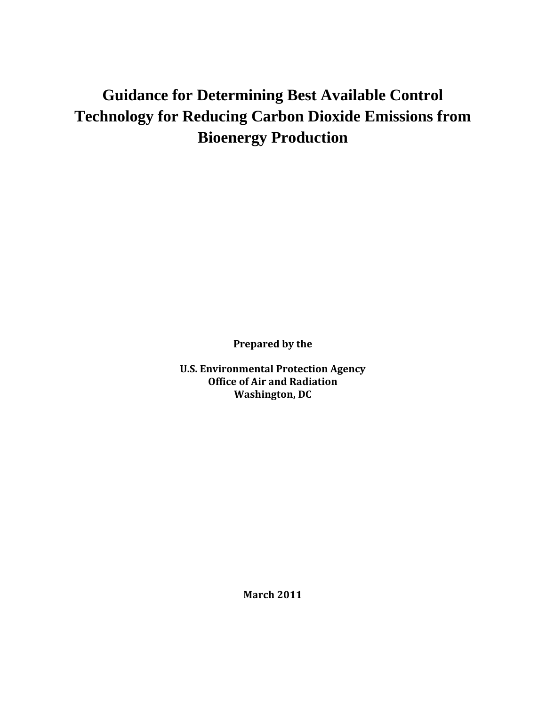# **Guidance for Determining Best Available Control Technology for Reducing Carbon Dioxide Emissions from Bioenergy Production**

**Prepared by the**

**U.S. Environmental Protection Agency Office of Air and Radiation Washington, DC**

**March 2011**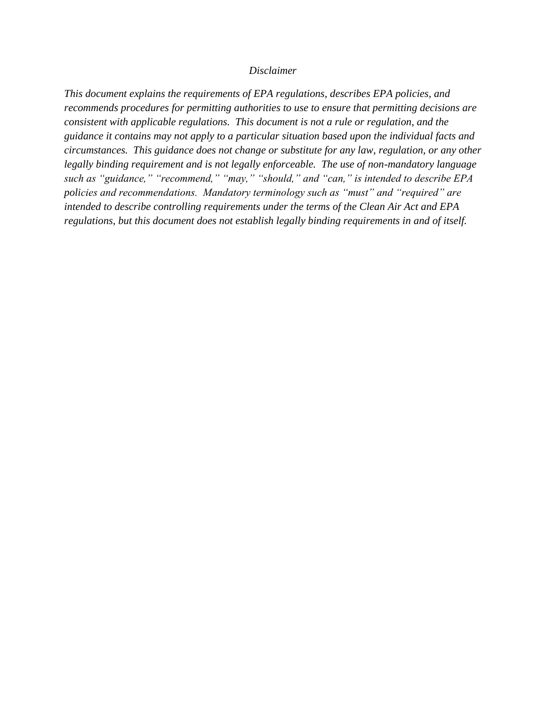#### *Disclaimer*

*This document explains the requirements of EPA regulations, describes EPA policies, and recommends procedures for permitting authorities to use to ensure that permitting decisions are consistent with applicable regulations. This document is not a rule or regulation, and the guidance it contains may not apply to a particular situation based upon the individual facts and circumstances. This guidance does not change or substitute for any law, regulation, or any other legally binding requirement and is not legally enforceable. The use of non-mandatory language such as "guidance," "recommend," "may," "should," and "can," is intended to describe EPA policies and recommendations. Mandatory terminology such as "must" and "required" are intended to describe controlling requirements under the terms of the Clean Air Act and EPA regulations, but this document does not establish legally binding requirements in and of itself.*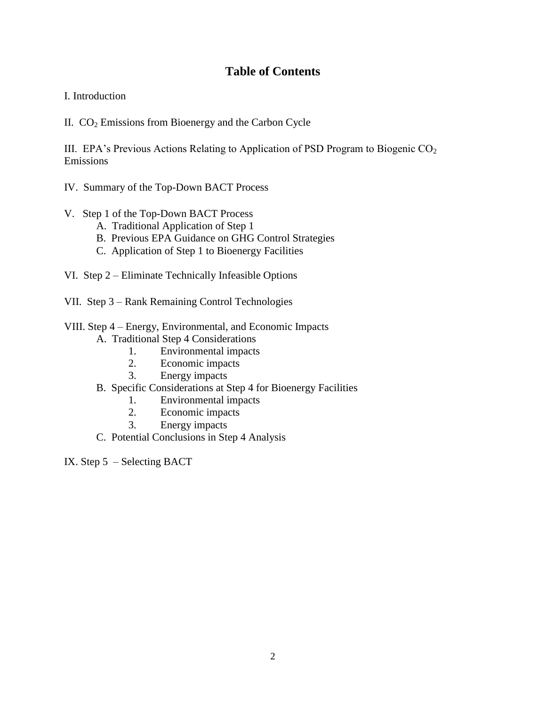## **Table of Contents**

## I. Introduction

II. CO<sup>2</sup> Emissions from Bioenergy and the Carbon Cycle

III. EPA's Previous Actions Relating to Application of PSD Program to Biogenic  $CO<sub>2</sub>$ Emissions

- IV. Summary of the Top-Down BACT Process
- V. Step 1 of the Top-Down BACT Process
	- A. Traditional Application of Step 1
	- B. Previous EPA Guidance on GHG Control Strategies
	- C. Application of Step 1 to Bioenergy Facilities
- VI. Step 2 Eliminate Technically Infeasible Options
- VII. Step 3 Rank Remaining Control Technologies
- VIII. Step 4 Energy, Environmental, and Economic Impacts
	- A. Traditional Step 4 Considerations
		- 1. Environmental impacts
		- 2. Economic impacts
		- 3. Energy impacts
	- B. Specific Considerations at Step 4 for Bioenergy Facilities
		- 1. Environmental impacts<br>2. Economic impacts
		- Economic impacts
		- 3. Energy impacts
	- C. Potential Conclusions in Step 4 Analysis

IX. Step 5 – Selecting BACT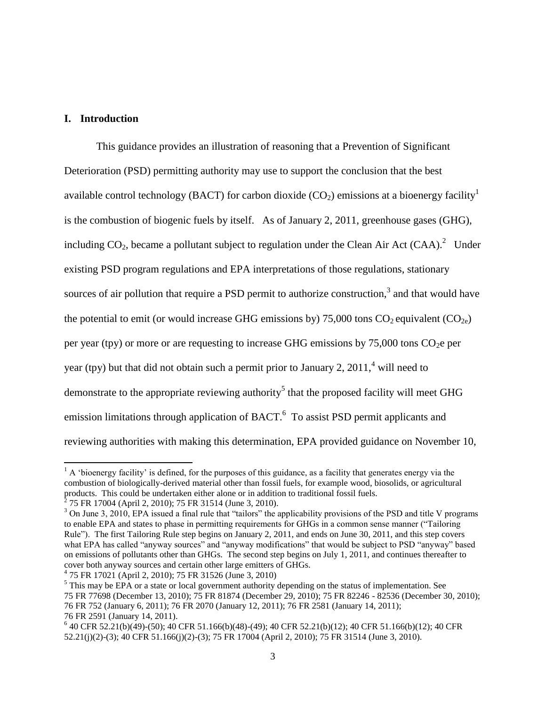## **I. Introduction**

 $\overline{\phantom{a}}$ 

This guidance provides an illustration of reasoning that a Prevention of Significant Deterioration (PSD) permitting authority may use to support the conclusion that the best available control technology (BACT) for carbon dioxide  $(CO_2)$  emissions at a bioenergy facility<sup>1</sup> is the combustion of biogenic fuels by itself. As of January 2, 2011, greenhouse gases (GHG), including  $CO_2$ , became a pollutant subject to regulation under the Clean Air Act  $(CAA)$ . Under existing PSD program regulations and EPA interpretations of those regulations, stationary sources of air pollution that require a PSD permit to authorize construction,<sup>3</sup> and that would have the potential to emit (or would increase GHG emissions by) 75,000 tons  $CO_2$  equivalent ( $CO_{2e}$ ) per year (tpy) or more or are requesting to increase GHG emissions by  $75,000$  tons  $CO<sub>2</sub>e$  per year (tpy) but that did not obtain such a permit prior to January 2,  $2011<sup>4</sup>$  will need to demonstrate to the appropriate reviewing authority<sup>5</sup> that the proposed facility will meet GHG emission limitations through application of BACT.<sup>6</sup> To assist PSD permit applicants and reviewing authorities with making this determination, EPA provided guidance on November 10,

 $1$  A 'bioenergy facility' is defined, for the purposes of this guidance, as a facility that generates energy via the combustion of biologically-derived material other than fossil fuels, for example wood, biosolids, or agricultural products. This could be undertaken either alone or in addition to traditional fossil fuels.<br><sup>2</sup> 75 FR 17004 (April 2, 2010); 75 FR 31514 (June 3, 2010).

<sup>&</sup>lt;sup>3</sup> On June 3, 2010, EPA issued a final rule that "tailors" the applicability provisions of the PSD and title V programs to enable EPA and states to phase in permitting requirements for GHGs in a common sense manner ("Tailoring Rule"). The first Tailoring Rule step begins on January 2, 2011, and ends on June 30, 2011, and this step covers what EPA has called "anyway sources" and "anyway modifications" that would be subject to PSD "anyway" based on emissions of pollutants other than GHGs. The second step begins on July 1, 2011, and continues thereafter to cover both anyway sources and certain other large emitters of GHGs.

<sup>4</sup> 75 FR 17021 (April 2, 2010); 75 FR 31526 (June 3, 2010)

 $<sup>5</sup>$  This may be EPA or a state or local government authority depending on the status of implementation. See</sup> 75 FR 77698 (December 13, 2010); 75 FR 81874 (December 29, 2010); 75 FR 82246 - 82536 (December 30, 2010); 76 FR 752 (January 6, 2011); 76 FR 2070 (January 12, 2011); 76 FR 2581 (January 14, 2011); 76 FR 2591 (January 14, 2011).

<sup>6</sup> 40 CFR 52.21(b)(49)-(50); 40 CFR 51.166(b)(48)-(49); 40 CFR 52.21(b)(12); 40 CFR 51.166(b)(12); 40 CFR 52.21(j)(2)-(3); 40 CFR 51.166(j)(2)-(3); 75 FR 17004 (April 2, 2010); 75 FR 31514 (June 3, 2010).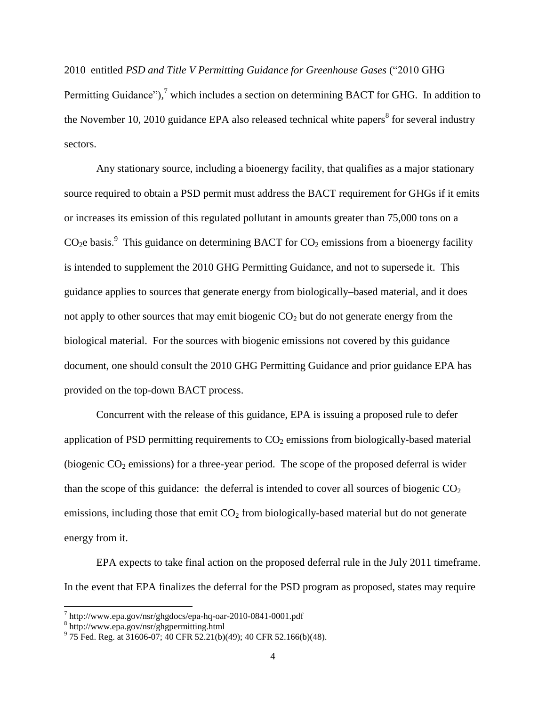2010 entitled *PSD and Title V Permitting Guidance for Greenhouse Gases* ("2010 GHG Permitting Guidance")*,* <sup>7</sup> which includes a section on determining BACT for GHG. In addition to the November 10, 2010 guidance EPA also released technical white papers<sup>8</sup> for several industry sectors.

Any stationary source, including a bioenergy facility, that qualifies as a major stationary source required to obtain a PSD permit must address the BACT requirement for GHGs if it emits or increases its emission of this regulated pollutant in amounts greater than 75,000 tons on a CO<sub>2</sub>e basis.<sup>9</sup> This guidance on determining BACT for CO<sub>2</sub> emissions from a bioenergy facility is intended to supplement the 2010 GHG Permitting Guidance, and not to supersede it. This guidance applies to sources that generate energy from biologically–based material, and it does not apply to other sources that may emit biogenic  $CO<sub>2</sub>$  but do not generate energy from the biological material. For the sources with biogenic emissions not covered by this guidance document, one should consult the 2010 GHG Permitting Guidance and prior guidance EPA has provided on the top-down BACT process.

Concurrent with the release of this guidance, EPA is issuing a proposed rule to defer application of PSD permitting requirements to  $CO<sub>2</sub>$  emissions from biologically-based material (biogenic  $CO_2$  emissions) for a three-year period. The scope of the proposed deferral is wider than the scope of this guidance: the deferral is intended to cover all sources of biogenic  $CO<sub>2</sub>$ emissions, including those that  $\text{emi CO}_2$  from biologically-based material but do not generate energy from it.

EPA expects to take final action on the proposed deferral rule in the July 2011 timeframe. In the event that EPA finalizes the deferral for the PSD program as proposed, states may require

<sup>7</sup> http://www.epa.gov/nsr/ghgdocs/epa-hq-oar-2010-0841-0001.pdf

<sup>8</sup> http://www.epa.gov/nsr/ghgpermitting.html

 $9^9$  75 Fed. Reg. at 31606-07; 40 CFR 52.21(b)(49); 40 CFR 52.166(b)(48).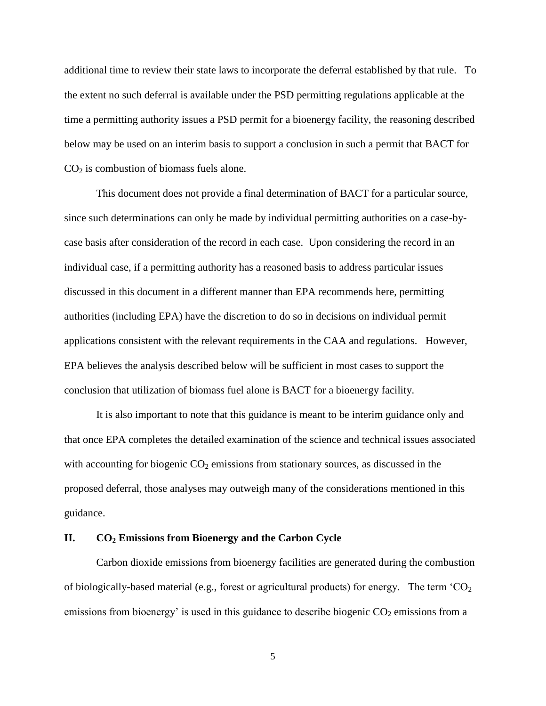additional time to review their state laws to incorporate the deferral established by that rule. To the extent no such deferral is available under the PSD permitting regulations applicable at the time a permitting authority issues a PSD permit for a bioenergy facility, the reasoning described below may be used on an interim basis to support a conclusion in such a permit that BACT for  $CO<sub>2</sub>$  is combustion of biomass fuels alone.

This document does not provide a final determination of BACT for a particular source, since such determinations can only be made by individual permitting authorities on a case-bycase basis after consideration of the record in each case. Upon considering the record in an individual case, if a permitting authority has a reasoned basis to address particular issues discussed in this document in a different manner than EPA recommends here, permitting authorities (including EPA) have the discretion to do so in decisions on individual permit applications consistent with the relevant requirements in the CAA and regulations. However, EPA believes the analysis described below will be sufficient in most cases to support the conclusion that utilization of biomass fuel alone is BACT for a bioenergy facility.

It is also important to note that this guidance is meant to be interim guidance only and that once EPA completes the detailed examination of the science and technical issues associated with accounting for biogenic  $CO<sub>2</sub>$  emissions from stationary sources, as discussed in the proposed deferral, those analyses may outweigh many of the considerations mentioned in this guidance.

#### **II. CO<sup>2</sup> Emissions from Bioenergy and the Carbon Cycle**

Carbon dioxide emissions from bioenergy facilities are generated during the combustion of biologically-based material (e.g., forest or agricultural products) for energy. The term  $^{\circ}CO_{2}$ emissions from bioenergy' is used in this guidance to describe biogenic  $CO<sub>2</sub>$  emissions from a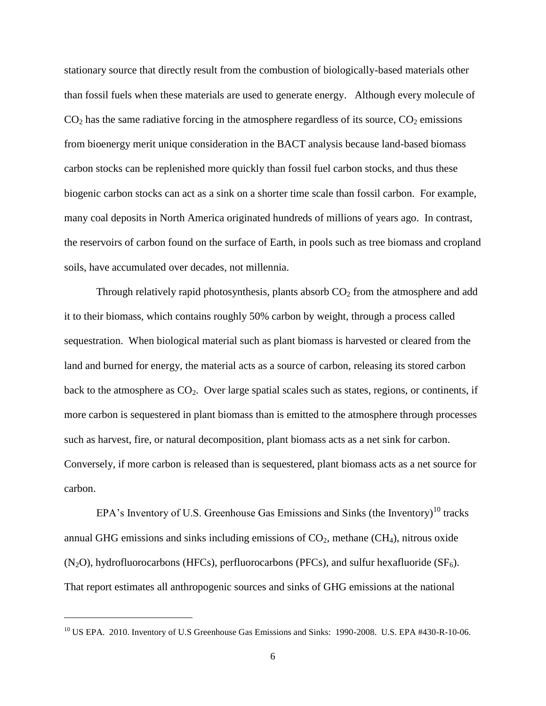stationary source that directly result from the combustion of biologically-based materials other than fossil fuels when these materials are used to generate energy. Although every molecule of  $CO<sub>2</sub>$  has the same radiative forcing in the atmosphere regardless of its source,  $CO<sub>2</sub>$  emissions from bioenergy merit unique consideration in the BACT analysis because land-based biomass carbon stocks can be replenished more quickly than fossil fuel carbon stocks, and thus these biogenic carbon stocks can act as a sink on a shorter time scale than fossil carbon. For example, many coal deposits in North America originated hundreds of millions of years ago. In contrast, the reservoirs of carbon found on the surface of Earth, in pools such as tree biomass and cropland soils, have accumulated over decades, not millennia.

Through relatively rapid photosynthesis, plants absorb  $CO<sub>2</sub>$  from the atmosphere and add it to their biomass, which contains roughly 50% carbon by weight, through a process called sequestration. When biological material such as plant biomass is harvested or cleared from the land and burned for energy, the material acts as a source of carbon, releasing its stored carbon back to the atmosphere as  $CO<sub>2</sub>$ . Over large spatial scales such as states, regions, or continents, if more carbon is sequestered in plant biomass than is emitted to the atmosphere through processes such as harvest, fire, or natural decomposition, plant biomass acts as a net sink for carbon. Conversely, if more carbon is released than is sequestered, plant biomass acts as a net source for carbon.

EPA's Inventory of U.S. Greenhouse Gas Emissions and Sinks (the Inventory)<sup>10</sup> tracks annual GHG emissions and sinks including emissions of  $CO<sub>2</sub>$ , methane (CH<sub>4</sub>), nitrous oxide  $(N_2O)$ , hydrofluorocarbons (HFCs), perfluorocarbons (PFCs), and sulfur hexafluoride (SF<sub>6</sub>). That report estimates all anthropogenic sources and sinks of GHG emissions at the national

 $\overline{a}$ 

<sup>&</sup>lt;sup>10</sup> US EPA. 2010. Inventory of U.S Greenhouse Gas Emissions and Sinks: 1990-2008. U.S. EPA #430-R-10-06.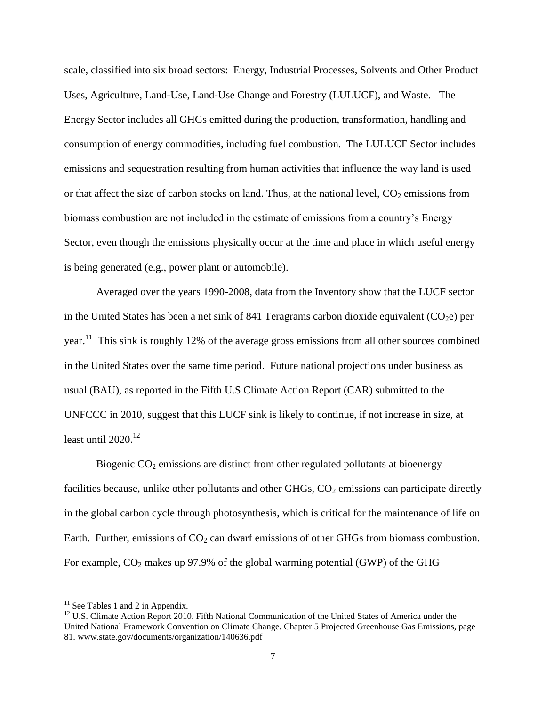scale, classified into six broad sectors: Energy, Industrial Processes, Solvents and Other Product Uses, Agriculture, Land-Use, Land-Use Change and Forestry (LULUCF), and Waste. The Energy Sector includes all GHGs emitted during the production, transformation, handling and consumption of energy commodities, including fuel combustion. The LULUCF Sector includes emissions and sequestration resulting from human activities that influence the way land is used or that affect the size of carbon stocks on land. Thus, at the national level,  $CO_2$  emissions from biomass combustion are not included in the estimate of emissions from a country"s Energy Sector, even though the emissions physically occur at the time and place in which useful energy is being generated (e.g., power plant or automobile).

Averaged over the years 1990-2008, data from the Inventory show that the LUCF sector in the United States has been a net sink of 841 Teragrams carbon dioxide equivalent  $(CO<sub>2</sub>e)$  per year.<sup>11</sup> This sink is roughly 12% of the average gross emissions from all other sources combined in the United States over the same time period. Future national projections under business as usual (BAU), as reported in the Fifth U.S Climate Action Report (CAR) submitted to the UNFCCC in 2010, suggest that this LUCF sink is likely to continue, if not increase in size, at least until  $2020$ <sup>12</sup>

Biogenic  $CO<sub>2</sub>$  emissions are distinct from other regulated pollutants at bioenergy facilities because, unlike other pollutants and other GHGs,  $CO<sub>2</sub>$  emissions can participate directly in the global carbon cycle through photosynthesis, which is critical for the maintenance of life on Earth. Further, emissions of  $CO<sub>2</sub>$  can dwarf emissions of other GHGs from biomass combustion. For example,  $CO_2$  makes up 97.9% of the global warming potential (GWP) of the GHG

 $11$  See Tables 1 and 2 in Appendix.

<sup>&</sup>lt;sup>12</sup> U.S. Climate Action Report 2010. Fifth National Communication of the United States of America under the United National Framework Convention on Climate Change. Chapter 5 Projected Greenhouse Gas Emissions, page 81. [www.state.gov/documents/organization/140636.pdf](http://www.state.gov/documents/organization/140636.pdf)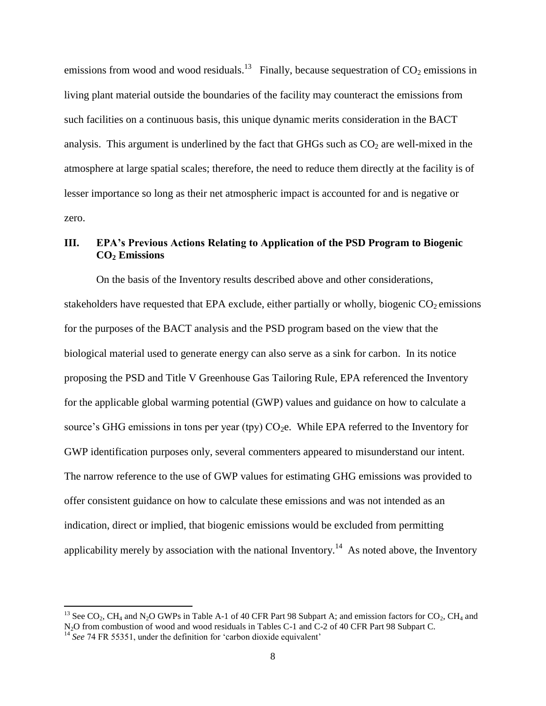emissions from wood and wood residuals.<sup>13</sup> Finally, because sequestration of  $CO_2$  emissions in living plant material outside the boundaries of the facility may counteract the emissions from such facilities on a continuous basis, this unique dynamic merits consideration in the BACT analysis. This argument is underlined by the fact that GHGs such as  $CO<sub>2</sub>$  are well-mixed in the atmosphere at large spatial scales; therefore, the need to reduce them directly at the facility is of lesser importance so long as their net atmospheric impact is accounted for and is negative or zero.

## **III. EPA's Previous Actions Relating to Application of the PSD Program to Biogenic CO<sup>2</sup> Emissions**

On the basis of the Inventory results described above and other considerations, stakeholders have requested that EPA exclude, either partially or wholly, biogenic  $CO<sub>2</sub>$  emissions for the purposes of the BACT analysis and the PSD program based on the view that the biological material used to generate energy can also serve as a sink for carbon. In its notice proposing the PSD and Title V Greenhouse Gas Tailoring Rule, EPA referenced the Inventory for the applicable global warming potential (GWP) values and guidance on how to calculate a source's GHG emissions in tons per year (tpy)  $CO<sub>2</sub>e$ . While EPA referred to the Inventory for GWP identification purposes only, several commenters appeared to misunderstand our intent. The narrow reference to the use of GWP values for estimating GHG emissions was provided to offer consistent guidance on how to calculate these emissions and was not intended as an indication, direct or implied, that biogenic emissions would be excluded from permitting applicability merely by association with the national Inventory.<sup>14</sup> As noted above, the Inventory

<sup>&</sup>lt;sup>13</sup> See CO<sub>2</sub>, CH<sub>4</sub> and N<sub>2</sub>O GWPs in Table A-1 of 40 CFR Part 98 Subpart A; and emission factors for CO<sub>2</sub>, CH<sub>4</sub> and N2O from combustion of wood and wood residuals in Tables C-1 and C-2 of 40 CFR Part 98 Subpart C.

<sup>&</sup>lt;sup>14</sup> See 74 FR 55351, under the definition for 'carbon dioxide equivalent'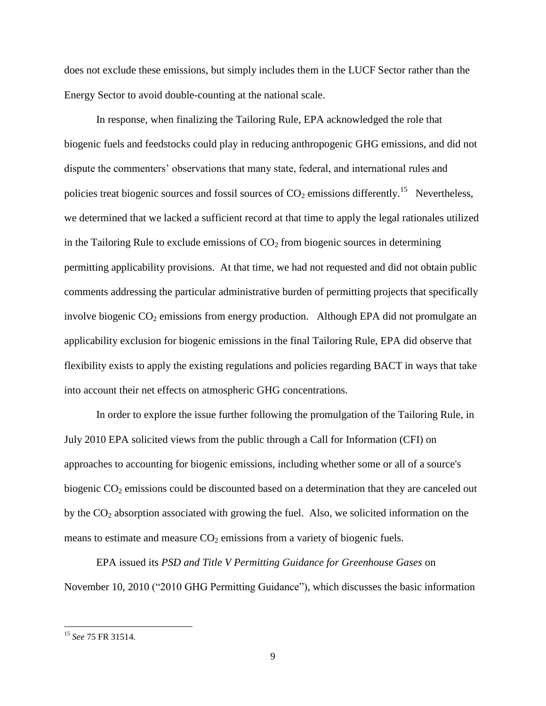does not exclude these emissions, but simply includes them in the LUCF Sector rather than the Energy Sector to avoid double-counting at the national scale.

In response, when finalizing the Tailoring Rule, EPA acknowledged the role that biogenic fuels and feedstocks could play in reducing anthropogenic GHG emissions, and did not dispute the commenters' observations that many state, federal, and international rules and policies treat biogenic sources and fossil sources of  $CO<sub>2</sub>$  emissions differently.<sup>15</sup> Nevertheless, we determined that we lacked a sufficient record at that time to apply the legal rationales utilized in the Tailoring Rule to exclude emissions of  $CO<sub>2</sub>$  from biogenic sources in determining permitting applicability provisions. At that time, we had not requested and did not obtain public comments addressing the particular administrative burden of permitting projects that specifically involve biogenic  $CO_2$  emissions from energy production. Although EPA did not promulgate an applicability exclusion for biogenic emissions in the final Tailoring Rule, EPA did observe that flexibility exists to apply the existing regulations and policies regarding BACT in ways that take into account their net effects on atmospheric GHG concentrations.

In order to explore the issue further following the promulgation of the Tailoring Rule, in July 2010 EPA solicited views from the public through a Call for Information (CFI) on approaches to accounting for biogenic emissions, including whether some or all of a source's biogenic  $CO<sub>2</sub>$  emissions could be discounted based on a determination that they are canceled out by the  $CO<sub>2</sub>$  absorption associated with growing the fuel. Also, we solicited information on the means to estimate and measure  $CO<sub>2</sub>$  emissions from a variety of biogenic fuels.

EPA issued its *PSD and Title V Permitting Guidance for Greenhouse Gases* on November 10, 2010 ("2010 GHG Permitting Guidance"), which discusses the basic information

<sup>15</sup> *See* 75 FR 31514.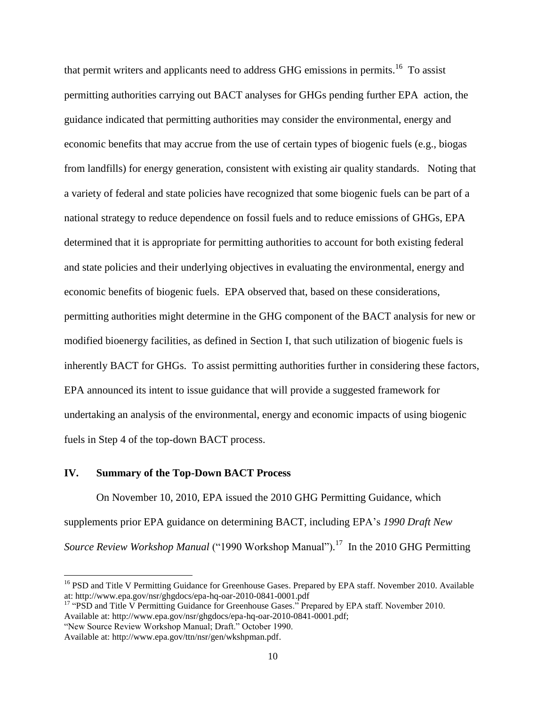that permit writers and applicants need to address GHG emissions in permits.<sup>16</sup> To assist permitting authorities carrying out BACT analyses for GHGs pending further EPA action, the guidance indicated that permitting authorities may consider the environmental, energy and economic benefits that may accrue from the use of certain types of biogenic fuels (e.g., biogas from landfills) for energy generation, consistent with existing air quality standards. Noting that a variety of federal and state policies have recognized that some biogenic fuels can be part of a national strategy to reduce dependence on fossil fuels and to reduce emissions of GHGs, EPA determined that it is appropriate for permitting authorities to account for both existing federal and state policies and their underlying objectives in evaluating the environmental, energy and economic benefits of biogenic fuels. EPA observed that, based on these considerations, permitting authorities might determine in the GHG component of the BACT analysis for new or modified bioenergy facilities, as defined in Section I, that such utilization of biogenic fuels is inherently BACT for GHGs. To assist permitting authorities further in considering these factors, EPA announced its intent to issue guidance that will provide a suggested framework for undertaking an analysis of the environmental, energy and economic impacts of using biogenic fuels in Step 4 of the top-down BACT process.

#### **IV. Summary of the Top-Down BACT Process**

On November 10, 2010, EPA issued the 2010 GHG Permitting Guidance*,* which supplements prior EPA guidance on determining BACT, including EPA"s *1990 Draft New*  Source Review Workshop Manual ("1990 Workshop Manual").<sup>17</sup> In the 2010 GHG Permitting

l

<sup>&</sup>lt;sup>16</sup> PSD and Title V Permitting Guidance for Greenhouse Gases. Prepared by EPA staff. November 2010. Available at:<http://www.epa.gov/nsr/ghgdocs/epa-hq-oar-2010-0841-0001.pdf>

<sup>&</sup>lt;sup>17</sup> "PSD and Title V Permitting Guidance for Greenhouse Gases." Prepared by EPA staff. November 2010. Available at: [http://www.epa.gov/nsr/ghgdocs/epa-hq-oar-2010-0841-0001.pdf;](http://www.epa.gov/nsr/ghgdocs/epa-hq-oar-2010-0841-0001.pdf)

<sup>&</sup>quot;New Source Review Workshop Manual; Draft." October 1990.

Available at: http://www.epa.gov/ttn/nsr/gen/wkshpman.pdf.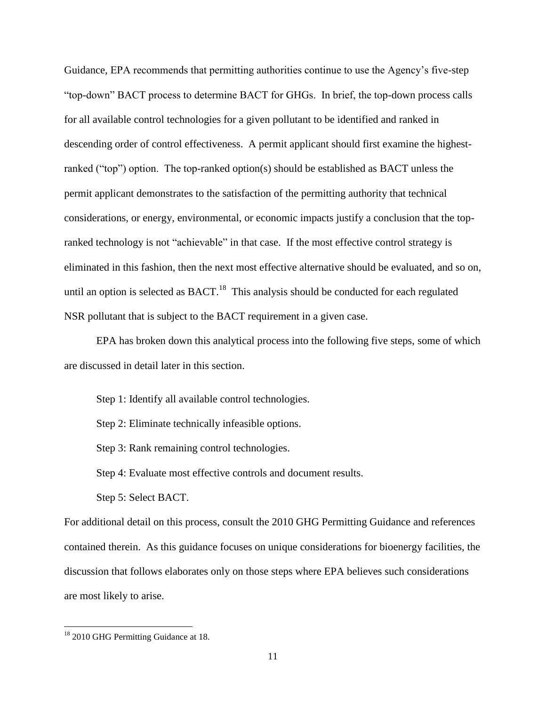Guidance, EPA recommends that permitting authorities continue to use the Agency"s five-step "top-down" BACT process to determine BACT for GHGs. In brief, the top-down process calls for all available control technologies for a given pollutant to be identified and ranked in descending order of control effectiveness. A permit applicant should first examine the highestranked ("top") option. The top-ranked option(s) should be established as BACT unless the permit applicant demonstrates to the satisfaction of the permitting authority that technical considerations, or energy, environmental, or economic impacts justify a conclusion that the topranked technology is not "achievable" in that case. If the most effective control strategy is eliminated in this fashion, then the next most effective alternative should be evaluated, and so on, until an option is selected as  $BACT.<sup>18</sup>$  This analysis should be conducted for each regulated NSR pollutant that is subject to the BACT requirement in a given case.

EPA has broken down this analytical process into the following five steps, some of which are discussed in detail later in this section.

Step 1: Identify all available control technologies.

Step 2: Eliminate technically infeasible options.

Step 3: Rank remaining control technologies.

Step 4: Evaluate most effective controls and document results.

Step 5: Select BACT.

For additional detail on this process, consult the 2010 GHG Permitting Guidance and references contained therein. As this guidance focuses on unique considerations for bioenergy facilities, the discussion that follows elaborates only on those steps where EPA believes such considerations are most likely to arise.

<sup>&</sup>lt;sup>18</sup> 2010 GHG Permitting Guidance at 18.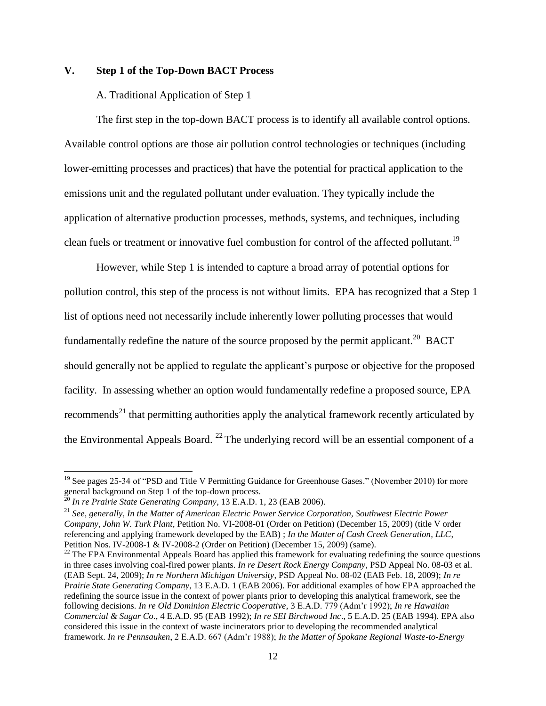## **V. Step 1 of the Top-Down BACT Process**

#### A. Traditional Application of Step 1

The first step in the top-down BACT process is to identify all available control options. Available control options are those air pollution control technologies or techniques (including lower-emitting processes and practices) that have the potential for practical application to the emissions unit and the regulated pollutant under evaluation. They typically include the application of alternative production processes, methods, systems, and techniques, including clean fuels or treatment or innovative fuel combustion for control of the affected pollutant.<sup>19</sup>

However, while Step 1 is intended to capture a broad array of potential options for pollution control, this step of the process is not without limits. EPA has recognized that a Step 1 list of options need not necessarily include inherently lower polluting processes that would fundamentally redefine the nature of the source proposed by the permit applicant.<sup>20</sup> BACT should generally not be applied to regulate the applicant's purpose or objective for the proposed facility. In assessing whether an option would fundamentally redefine a proposed source, EPA recommends<sup>21</sup> that permitting authorities apply the analytical framework recently articulated by the Environmental Appeals Board.  $^{22}$  The underlying record will be an essential component of a

 $\overline{a}$ 

<sup>&</sup>lt;sup>19</sup> See pages 25-34 of "PSD and Title V Permitting Guidance for Greenhouse Gases." (November 2010) for more general background on Step 1 of the top-down process.

<sup>20</sup> *In re Prairie State Generating Company*, 13 E.A.D. 1, 23 (EAB 2006).

<sup>21</sup> *See, generally, In the Matter of American Electric Power Service Corporation, Southwest Electric Power Company, John W. Turk Plant*, Petition No. VI-2008-01 (Order on Petition) (December 15, 2009) (title V order referencing and applying framework developed by the EAB) ; *In the Matter of Cash Creek Generation, LLC*, Petition Nos. IV-2008-1 & IV-2008-2 (Order on Petition) (December 15, 2009) (same).

 $22$  The EPA Environmental Appeals Board has applied this framework for evaluating redefining the source questions in three cases involving coal-fired power plants. *In re Desert Rock Energy Company*, PSD Appeal No. 08-03 et al. (EAB Sept. 24, 2009); *In re Northern Michigan University*, PSD Appeal No. 08-02 (EAB Feb. 18, 2009); *In re Prairie State Generating Company*, 13 E.A.D. 1 (EAB 2006). For additional examples of how EPA approached the redefining the source issue in the context of power plants prior to developing this analytical framework, see the following decisions. *In re Old Dominion Electric Cooperative*, 3 E.A.D. 779 (Adm"r 1992); *In re Hawaiian Commercial & Sugar Co.*, 4 E.A.D. 95 (EAB 1992); *In re SEI Birchwood Inc*., 5 E.A.D. 25 (EAB 1994). EPA also considered this issue in the context of waste incinerators prior to developing the recommended analytical framework. *In re Pennsauken*, 2 E.A.D. 667 (Adm"r 1988); *In the Matter of Spokane Regional Waste-to-Energy*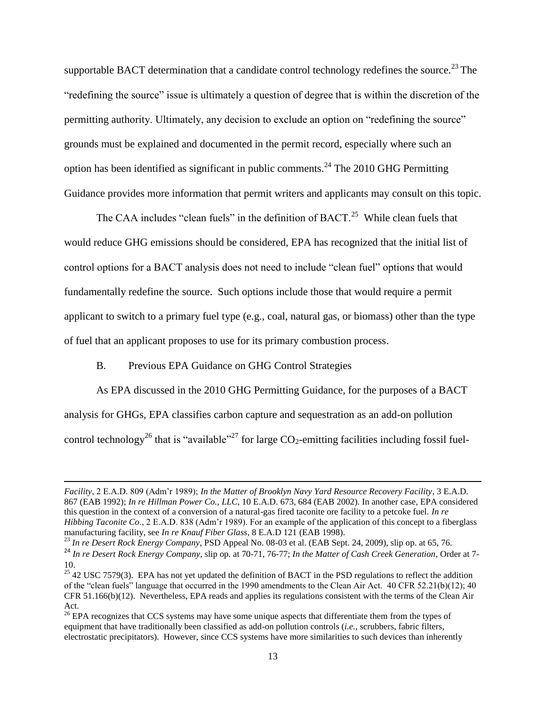supportable BACT determination that a candidate control technology redefines the source.<sup>23</sup> The "redefining the source" issue is ultimately a question of degree that is within the discretion of the permitting authority. Ultimately, any decision to exclude an option on "redefining the source" grounds must be explained and documented in the permit record, especially where such an option has been identified as significant in public comments.<sup>24</sup> The 2010 GHG Permitting Guidance provides more information that permit writers and applicants may consult on this topic.

The CAA includes "clean fuels" in the definition of  $BACT<sup>25</sup>$  While clean fuels that would reduce GHG emissions should be considered, EPA has recognized that the initial list of control options for a BACT analysis does not need to include "clean fuel" options that would fundamentally redefine the source. Such options include those that would require a permit applicant to switch to a primary fuel type (e.g., coal, natural gas, or biomass) other than the type of fuel that an applicant proposes to use for its primary combustion process.

#### B. Previous EPA Guidance on GHG Control Strategies

l

As EPA discussed in the 2010 GHG Permitting Guidance, for the purposes of a BACT analysis for GHGs, EPA classifies carbon capture and sequestration as an add-on pollution control technology<sup>26</sup> that is "available"<sup>27</sup> for large  $CO_2$ -emitting facilities including fossil fuel-

<sup>23</sup> *In re Desert Rock Energy Company*, PSD Appeal No. 08-03 et al. (EAB Sept. 24, 2009), slip op. at 65, 76.

*Facility*, 2 E.A.D. 809 (Adm"r 1989); *In the Matter of Brooklyn Navy Yard Resource Recovery Facility*, 3 E.A.D. 867 (EAB 1992); *In re Hillman Power Co., LLC*, 10 E.A.D. 673, 684 (EAB 2002). In another case, EPA considered this question in the context of a conversion of a natural-gas fired taconite ore facility to a petcoke fuel. *In re Hibbing Taconite Co*., 2 E.A.D. 838 (Adm"r 1989). For an example of the application of this concept to a fiberglass manufacturing facility, see *In re Knauf Fiber Glass*, 8 E.A.D 121 (EAB 1998).

<sup>24</sup> *In re Desert Rock Energy Company*, slip op. at 70-71, 76-77; *In the Matter of Cash Creek Generation*, Order at 7- 10.

 $25$  42 USC 7579(3). EPA has not yet updated the definition of BACT in the PSD regulations to reflect the addition of the "clean fuels" language that occurred in the 1990 amendments to the Clean Air Act. 40 CFR 52.21(b)(12); 40 CFR 51.166(b)(12). Nevertheless, EPA reads and applies its regulations consistent with the terms of the Clean Air Act.

<sup>&</sup>lt;sup>26</sup> EPA recognizes that CCS systems may have some unique aspects that differentiate them from the types of equipment that have traditionally been classified as add-on pollution controls (*i.e.,* scrubbers, fabric filters, electrostatic precipitators). However, since CCS systems have more similarities to such devices than inherently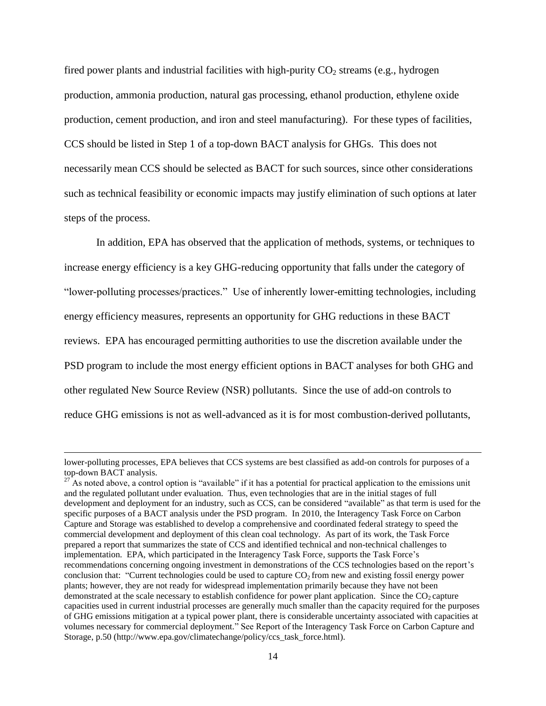fired power plants and industrial facilities with high-purity  $CO<sub>2</sub>$  streams (e.g., hydrogen production, ammonia production, natural gas processing, ethanol production, ethylene oxide production, cement production, and iron and steel manufacturing). For these types of facilities, CCS should be listed in Step 1 of a top-down BACT analysis for GHGs. This does not necessarily mean CCS should be selected as BACT for such sources, since other considerations such as technical feasibility or economic impacts may justify elimination of such options at later steps of the process.

 In addition, EPA has observed that the application of methods, systems, or techniques to increase energy efficiency is a key GHG-reducing opportunity that falls under the category of "lower-polluting processes/practices." Use of inherently lower-emitting technologies, including energy efficiency measures, represents an opportunity for GHG reductions in these BACT reviews. EPA has encouraged permitting authorities to use the discretion available under the PSD program to include the most energy efficient options in BACT analyses for both GHG and other regulated New Source Review (NSR) pollutants. Since the use of add-on controls to reduce GHG emissions is not as well-advanced as it is for most combustion-derived pollutants,

 $\overline{a}$ 

lower-polluting processes, EPA believes that CCS systems are best classified as add-on controls for purposes of a top-down BACT analysis.

 $27$ <sup>27</sup> As noted above, a control option is "available" if it has a potential for practical application to the emissions unit and the regulated pollutant under evaluation. Thus, even technologies that are in the initial stages of full development and deployment for an industry, such as CCS, can be considered "available" as that term is used for the specific purposes of a BACT analysis under the PSD program. In 2010, the Interagency Task Force on Carbon Capture and Storage was established to develop a comprehensive and coordinated federal strategy to speed the commercial development and deployment of this clean coal technology. As part of its work, the Task Force prepared a report that summarizes the state of CCS and identified technical and non-technical challenges to implementation. EPA, which participated in the Interagency Task Force, supports the Task Force's recommendations concerning ongoing investment in demonstrations of the CCS technologies based on the report"s conclusion that: "Current technologies could be used to capture  $CO<sub>2</sub>$  from new and existing fossil energy power plants; however, they are not ready for widespread implementation primarily because they have not been demonstrated at the scale necessary to establish confidence for power plant application. Since the  $CO<sub>2</sub>$  capture capacities used in current industrial processes are generally much smaller than the capacity required for the purposes of GHG emissions mitigation at a typical power plant, there is considerable uncertainty associated with capacities at volumes necessary for commercial deployment." See Report of the Interagency Task Force on Carbon Capture and Storage, p.50 [\(http://www.epa.gov/climatechange/policy/ccs\\_task\\_force.html\)](http://www.epa.gov/climatechange/policy/ccs_task_force.html).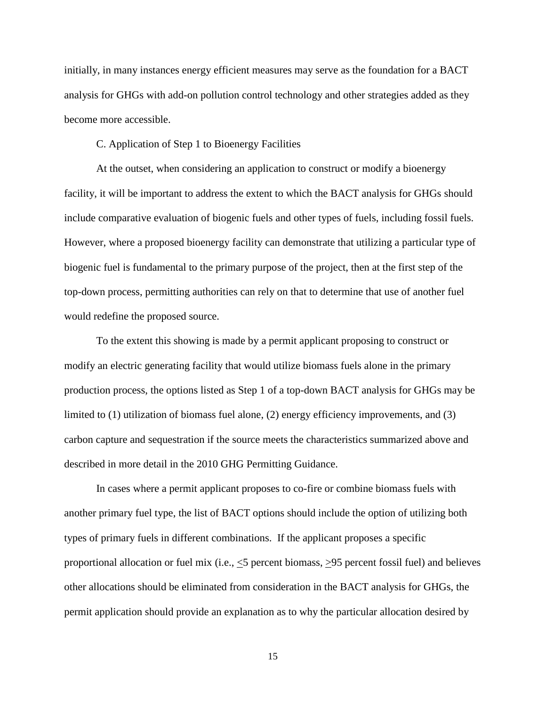initially, in many instances energy efficient measures may serve as the foundation for a BACT analysis for GHGs with add-on pollution control technology and other strategies added as they become more accessible.

C. Application of Step 1 to Bioenergy Facilities

At the outset, when considering an application to construct or modify a bioenergy facility, it will be important to address the extent to which the BACT analysis for GHGs should include comparative evaluation of biogenic fuels and other types of fuels, including fossil fuels. However, where a proposed bioenergy facility can demonstrate that utilizing a particular type of biogenic fuel is fundamental to the primary purpose of the project, then at the first step of the top-down process, permitting authorities can rely on that to determine that use of another fuel would redefine the proposed source.

To the extent this showing is made by a permit applicant proposing to construct or modify an electric generating facility that would utilize biomass fuels alone in the primary production process, the options listed as Step 1 of a top-down BACT analysis for GHGs may be limited to (1) utilization of biomass fuel alone, (2) energy efficiency improvements, and (3) carbon capture and sequestration if the source meets the characteristics summarized above and described in more detail in the 2010 GHG Permitting Guidance.

In cases where a permit applicant proposes to co-fire or combine biomass fuels with another primary fuel type, the list of BACT options should include the option of utilizing both types of primary fuels in different combinations. If the applicant proposes a specific proportional allocation or fuel mix (i.e.,  $\leq$ 5 percent biomass,  $\geq$ 95 percent fossil fuel) and believes other allocations should be eliminated from consideration in the BACT analysis for GHGs, the permit application should provide an explanation as to why the particular allocation desired by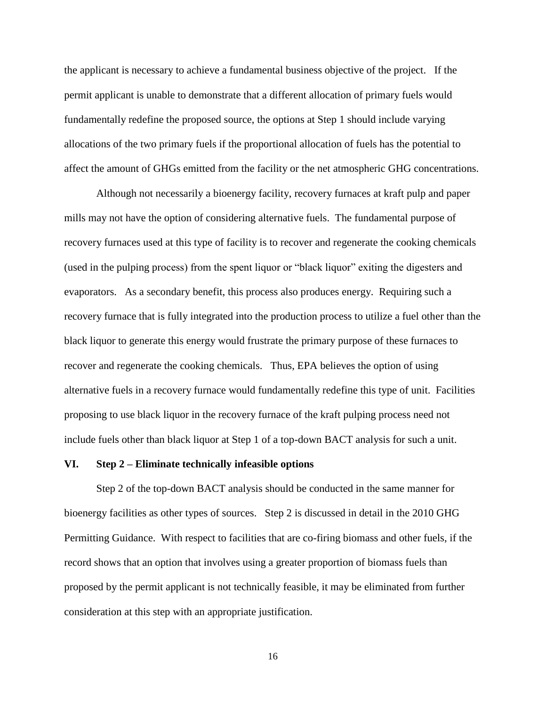the applicant is necessary to achieve a fundamental business objective of the project. If the permit applicant is unable to demonstrate that a different allocation of primary fuels would fundamentally redefine the proposed source, the options at Step 1 should include varying allocations of the two primary fuels if the proportional allocation of fuels has the potential to affect the amount of GHGs emitted from the facility or the net atmospheric GHG concentrations.

Although not necessarily a bioenergy facility, recovery furnaces at kraft pulp and paper mills may not have the option of considering alternative fuels. The fundamental purpose of recovery furnaces used at this type of facility is to recover and regenerate the cooking chemicals (used in the pulping process) from the spent liquor or "black liquor" exiting the digesters and evaporators. As a secondary benefit, this process also produces energy. Requiring such a recovery furnace that is fully integrated into the production process to utilize a fuel other than the black liquor to generate this energy would frustrate the primary purpose of these furnaces to recover and regenerate the cooking chemicals. Thus, EPA believes the option of using alternative fuels in a recovery furnace would fundamentally redefine this type of unit. Facilities proposing to use black liquor in the recovery furnace of the kraft pulping process need not include fuels other than black liquor at Step 1 of a top-down BACT analysis for such a unit.

#### **VI. Step 2 – Eliminate technically infeasible options**

Step 2 of the top-down BACT analysis should be conducted in the same manner for bioenergy facilities as other types of sources. Step 2 is discussed in detail in the 2010 GHG Permitting Guidance. With respect to facilities that are co-firing biomass and other fuels, if the record shows that an option that involves using a greater proportion of biomass fuels than proposed by the permit applicant is not technically feasible, it may be eliminated from further consideration at this step with an appropriate justification.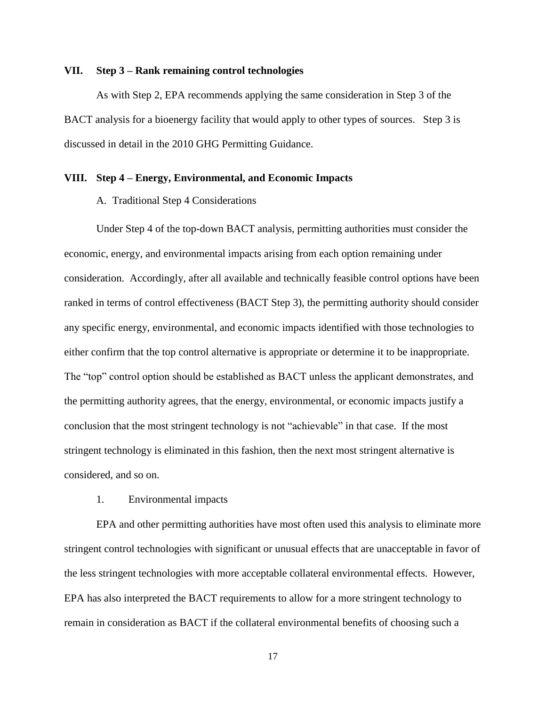#### **VII. Step 3 – Rank remaining control technologies**

As with Step 2, EPA recommends applying the same consideration in Step 3 of the BACT analysis for a bioenergy facility that would apply to other types of sources. Step 3 is discussed in detail in the 2010 GHG Permitting Guidance.

#### **VIII. Step 4 – Energy, Environmental, and Economic Impacts**

#### A. Traditional Step 4 Considerations

Under Step 4 of the top-down BACT analysis, permitting authorities must consider the economic, energy, and environmental impacts arising from each option remaining under consideration. Accordingly, after all available and technically feasible control options have been ranked in terms of control effectiveness (BACT Step 3), the permitting authority should consider any specific energy, environmental, and economic impacts identified with those technologies to either confirm that the top control alternative is appropriate or determine it to be inappropriate. The "top" control option should be established as BACT unless the applicant demonstrates, and the permitting authority agrees, that the energy, environmental, or economic impacts justify a conclusion that the most stringent technology is not "achievable" in that case. If the most stringent technology is eliminated in this fashion, then the next most stringent alternative is considered, and so on.

#### 1. Environmental impacts

EPA and other permitting authorities have most often used this analysis to eliminate more stringent control technologies with significant or unusual effects that are unacceptable in favor of the less stringent technologies with more acceptable collateral environmental effects. However, EPA has also interpreted the BACT requirements to allow for a more stringent technology to remain in consideration as BACT if the collateral environmental benefits of choosing such a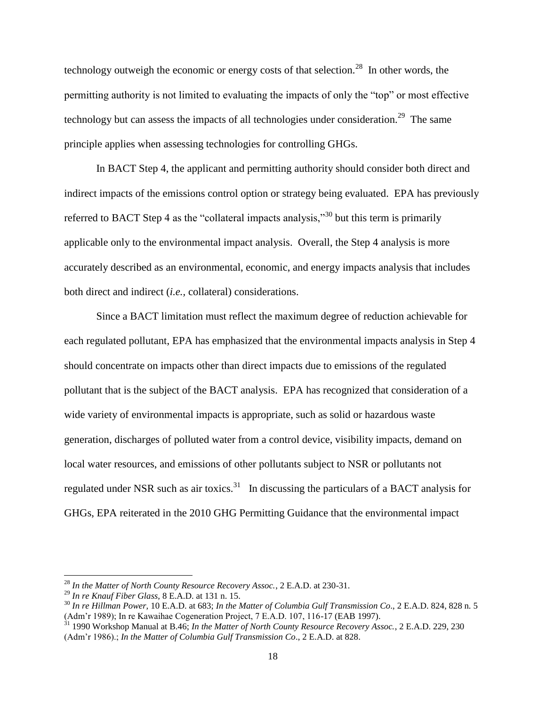technology outweigh the economic or energy costs of that selection.<sup>28</sup> In other words, the permitting authority is not limited to evaluating the impacts of only the "top" or most effective technology but can assess the impacts of all technologies under consideration.<sup>29</sup> The same principle applies when assessing technologies for controlling GHGs.

In BACT Step 4, the applicant and permitting authority should consider both direct and indirect impacts of the emissions control option or strategy being evaluated. EPA has previously referred to BACT Step 4 as the "collateral impacts analysis,"<sup>30</sup> but this term is primarily applicable only to the environmental impact analysis. Overall, the Step 4 analysis is more accurately described as an environmental, economic, and energy impacts analysis that includes both direct and indirect (*i.e.,* collateral) considerations.

Since a BACT limitation must reflect the maximum degree of reduction achievable for each regulated pollutant, EPA has emphasized that the environmental impacts analysis in Step 4 should concentrate on impacts other than direct impacts due to emissions of the regulated pollutant that is the subject of the BACT analysis. EPA has recognized that consideration of a wide variety of environmental impacts is appropriate, such as solid or hazardous waste generation, discharges of polluted water from a control device, visibility impacts, demand on local water resources, and emissions of other pollutants subject to NSR or pollutants not regulated under NSR such as air toxics.<sup>31</sup> In discussing the particulars of a BACT analysis for GHGs, EPA reiterated in the 2010 GHG Permitting Guidance that the environmental impact

l

<sup>28</sup> *In the Matter of North County Resource Recovery Assoc.*, 2 E.A.D. at 230-31.

<sup>29</sup> *In re Knauf Fiber Glass,* 8 E.A.D. at 131 n. 15.

<sup>30</sup> *In re Hillman Power,* 10 E.A.D. at 683; *In the Matter of Columbia Gulf Transmission Co*., 2 E.A.D. 824, 828 n. 5 (Adm"r 1989); In re Kawaihae Cogeneration Project, 7 E.A.D. 107, 116-17 (EAB 1997).

<sup>31</sup> 1990 Workshop Manual at B.46; *In the Matter of North County Resource Recovery Assoc.*, 2 E.A.D. 229, 230 (Adm"r 1986).; *In the Matter of Columbia Gulf Transmission Co*., 2 E.A.D. at 828.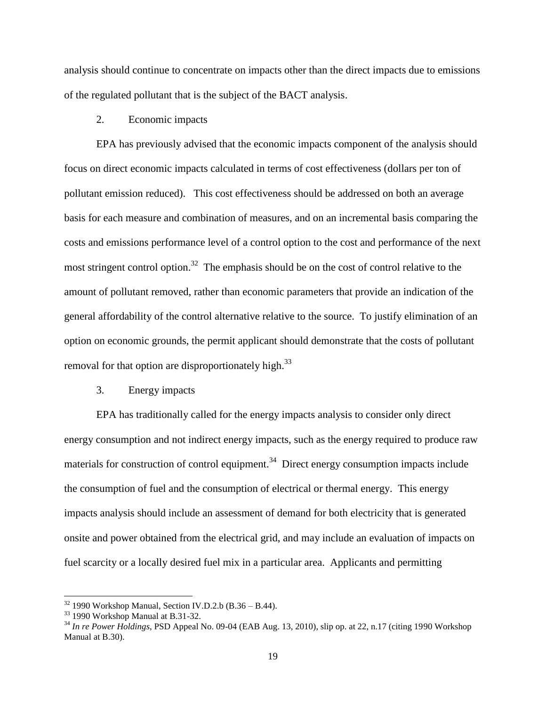analysis should continue to concentrate on impacts other than the direct impacts due to emissions of the regulated pollutant that is the subject of the BACT analysis.

#### 2. Economic impacts

EPA has previously advised that the economic impacts component of the analysis should focus on direct economic impacts calculated in terms of cost effectiveness (dollars per ton of pollutant emission reduced). This cost effectiveness should be addressed on both an average basis for each measure and combination of measures, and on an incremental basis comparing the costs and emissions performance level of a control option to the cost and performance of the next most stringent control option.<sup>32</sup> The emphasis should be on the cost of control relative to the amount of pollutant removed, rather than economic parameters that provide an indication of the general affordability of the control alternative relative to the source. To justify elimination of an option on economic grounds, the permit applicant should demonstrate that the costs of pollutant removal for that option are disproportionately high.<sup>33</sup>

#### 3. Energy impacts

EPA has traditionally called for the energy impacts analysis to consider only direct energy consumption and not indirect energy impacts, such as the energy required to produce raw materials for construction of control equipment.<sup>34</sup> Direct energy consumption impacts include the consumption of fuel and the consumption of electrical or thermal energy. This energy impacts analysis should include an assessment of demand for both electricity that is generated onsite and power obtained from the electrical grid, and may include an evaluation of impacts on fuel scarcity or a locally desired fuel mix in a particular area. Applicants and permitting

 $32$  1990 Workshop Manual, Section IV.D.2.b (B.36 – B.44).

<sup>33</sup> 1990 Workshop Manual at B.31-32.

<sup>34</sup> *In re Power Holdings*, PSD Appeal No. 09-04 (EAB Aug. 13, 2010), slip op. at 22, n.17 (citing 1990 Workshop Manual at B.30).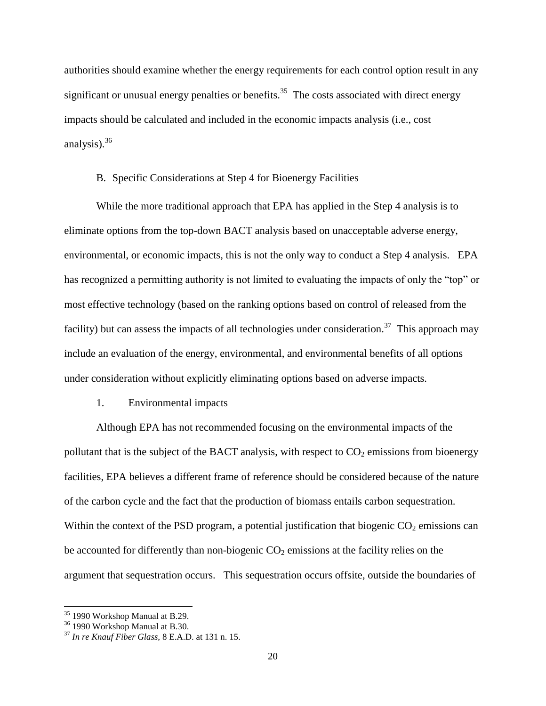authorities should examine whether the energy requirements for each control option result in any significant or unusual energy penalties or benefits.<sup>35</sup> The costs associated with direct energy impacts should be calculated and included in the economic impacts analysis (i.e., cost analysis).<sup>36</sup>

#### B. Specific Considerations at Step 4 for Bioenergy Facilities

While the more traditional approach that EPA has applied in the Step 4 analysis is to eliminate options from the top-down BACT analysis based on unacceptable adverse energy, environmental, or economic impacts, this is not the only way to conduct a Step 4 analysis. EPA has recognized a permitting authority is not limited to evaluating the impacts of only the "top" or most effective technology (based on the ranking options based on control of released from the facility) but can assess the impacts of all technologies under consideration.<sup>37</sup> This approach may include an evaluation of the energy, environmental, and environmental benefits of all options under consideration without explicitly eliminating options based on adverse impacts.

### 1. Environmental impacts

Although EPA has not recommended focusing on the environmental impacts of the pollutant that is the subject of the BACT analysis, with respect to  $CO<sub>2</sub>$  emissions from bioenergy facilities, EPA believes a different frame of reference should be considered because of the nature of the carbon cycle and the fact that the production of biomass entails carbon sequestration. Within the context of the PSD program, a potential justification that biogenic  $CO<sub>2</sub>$  emissions can be accounted for differently than non-biogenic  $CO<sub>2</sub>$  emissions at the facility relies on the argument that sequestration occurs. This sequestration occurs offsite, outside the boundaries of

<sup>&</sup>lt;sup>35</sup> 1990 Workshop Manual at B.29.

<sup>36</sup> 1990 Workshop Manual at B.30.

<sup>37</sup> *In re Knauf Fiber Glass,* 8 E.A.D. at 131 n. 15.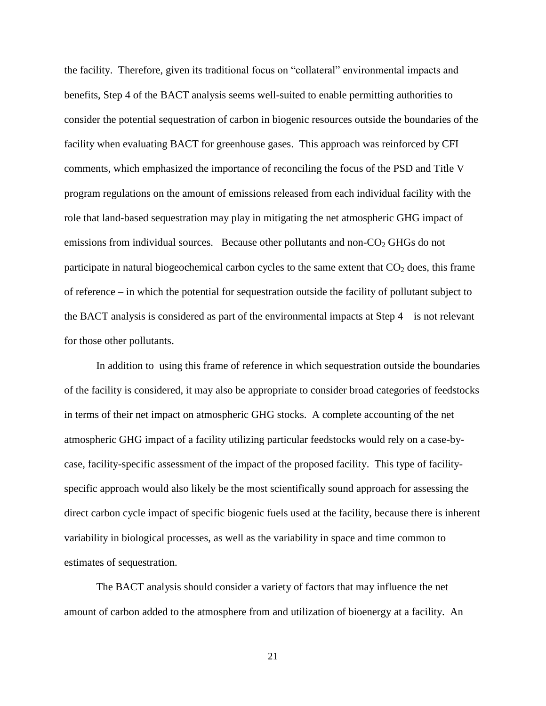the facility. Therefore, given its traditional focus on "collateral" environmental impacts and benefits, Step 4 of the BACT analysis seems well-suited to enable permitting authorities to consider the potential sequestration of carbon in biogenic resources outside the boundaries of the facility when evaluating BACT for greenhouse gases. This approach was reinforced by CFI comments, which emphasized the importance of reconciling the focus of the PSD and Title V program regulations on the amount of emissions released from each individual facility with the role that land-based sequestration may play in mitigating the net atmospheric GHG impact of emissions from individual sources. Because other pollutants and non- $CO<sub>2</sub>$  GHGs do not participate in natural biogeochemical carbon cycles to the same extent that  $CO<sub>2</sub>$  does, this frame of reference – in which the potential for sequestration outside the facility of pollutant subject to the BACT analysis is considered as part of the environmental impacts at Step 4 – is not relevant for those other pollutants.

In addition to using this frame of reference in which sequestration outside the boundaries of the facility is considered, it may also be appropriate to consider broad categories of feedstocks in terms of their net impact on atmospheric GHG stocks. A complete accounting of the net atmospheric GHG impact of a facility utilizing particular feedstocks would rely on a case-bycase, facility-specific assessment of the impact of the proposed facility. This type of facilityspecific approach would also likely be the most scientifically sound approach for assessing the direct carbon cycle impact of specific biogenic fuels used at the facility, because there is inherent variability in biological processes, as well as the variability in space and time common to estimates of sequestration.

The BACT analysis should consider a variety of factors that may influence the net amount of carbon added to the atmosphere from and utilization of bioenergy at a facility. An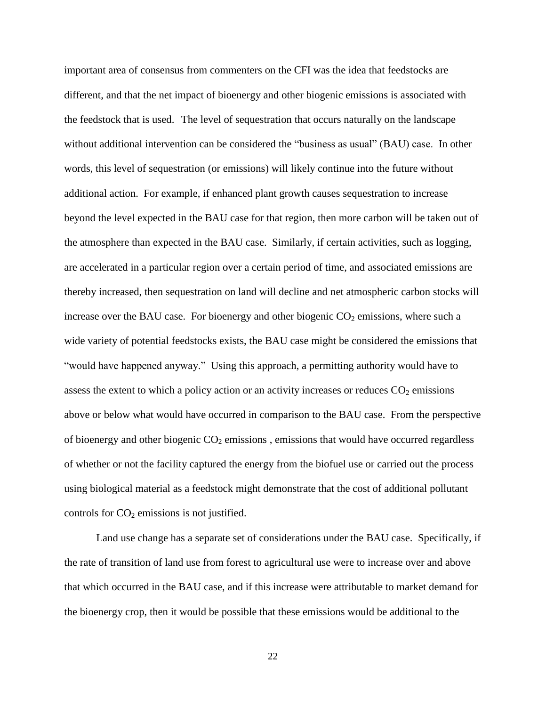important area of consensus from commenters on the CFI was the idea that feedstocks are different, and that the net impact of bioenergy and other biogenic emissions is associated with the feedstock that is used. The level of sequestration that occurs naturally on the landscape without additional intervention can be considered the "business as usual" (BAU) case. In other words, this level of sequestration (or emissions) will likely continue into the future without additional action. For example, if enhanced plant growth causes sequestration to increase beyond the level expected in the BAU case for that region, then more carbon will be taken out of the atmosphere than expected in the BAU case. Similarly, if certain activities, such as logging, are accelerated in a particular region over a certain period of time, and associated emissions are thereby increased, then sequestration on land will decline and net atmospheric carbon stocks will increase over the BAU case. For bioenergy and other biogenic  $CO<sub>2</sub>$  emissions, where such a wide variety of potential feedstocks exists, the BAU case might be considered the emissions that "would have happened anyway." Using this approach, a permitting authority would have to assess the extent to which a policy action or an activity increases or reduces  $CO<sub>2</sub>$  emissions above or below what would have occurred in comparison to the BAU case. From the perspective of bioenergy and other biogenic  $CO<sub>2</sub>$  emissions, emissions that would have occurred regardless of whether or not the facility captured the energy from the biofuel use or carried out the process using biological material as a feedstock might demonstrate that the cost of additional pollutant controls for  $CO<sub>2</sub>$  emissions is not justified.

Land use change has a separate set of considerations under the BAU case. Specifically, if the rate of transition of land use from forest to agricultural use were to increase over and above that which occurred in the BAU case, and if this increase were attributable to market demand for the bioenergy crop, then it would be possible that these emissions would be additional to the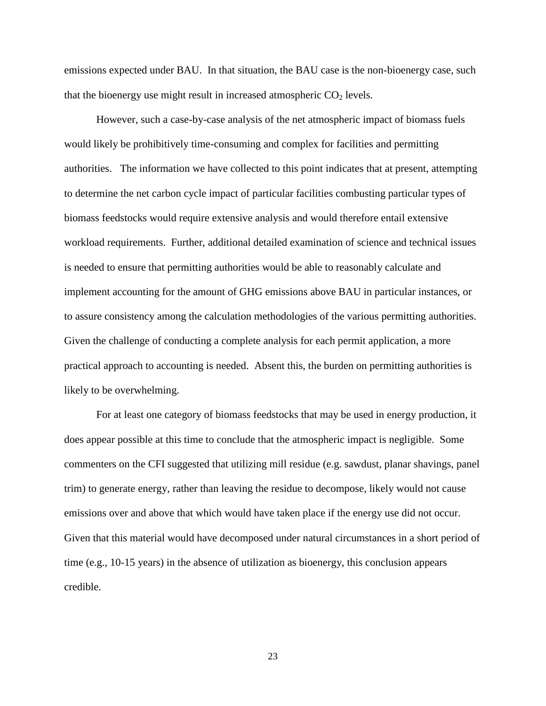emissions expected under BAU. In that situation, the BAU case is the non-bioenergy case, such that the bioenergy use might result in increased atmospheric  $CO<sub>2</sub>$  levels.

However, such a case-by-case analysis of the net atmospheric impact of biomass fuels would likely be prohibitively time-consuming and complex for facilities and permitting authorities. The information we have collected to this point indicates that at present, attempting to determine the net carbon cycle impact of particular facilities combusting particular types of biomass feedstocks would require extensive analysis and would therefore entail extensive workload requirements. Further, additional detailed examination of science and technical issues is needed to ensure that permitting authorities would be able to reasonably calculate and implement accounting for the amount of GHG emissions above BAU in particular instances, or to assure consistency among the calculation methodologies of the various permitting authorities. Given the challenge of conducting a complete analysis for each permit application, a more practical approach to accounting is needed. Absent this, the burden on permitting authorities is likely to be overwhelming.

For at least one category of biomass feedstocks that may be used in energy production, it does appear possible at this time to conclude that the atmospheric impact is negligible. Some commenters on the CFI suggested that utilizing mill residue (e.g. sawdust, planar shavings, panel trim) to generate energy, rather than leaving the residue to decompose, likely would not cause emissions over and above that which would have taken place if the energy use did not occur. Given that this material would have decomposed under natural circumstances in a short period of time (e.g., 10-15 years) in the absence of utilization as bioenergy, this conclusion appears credible.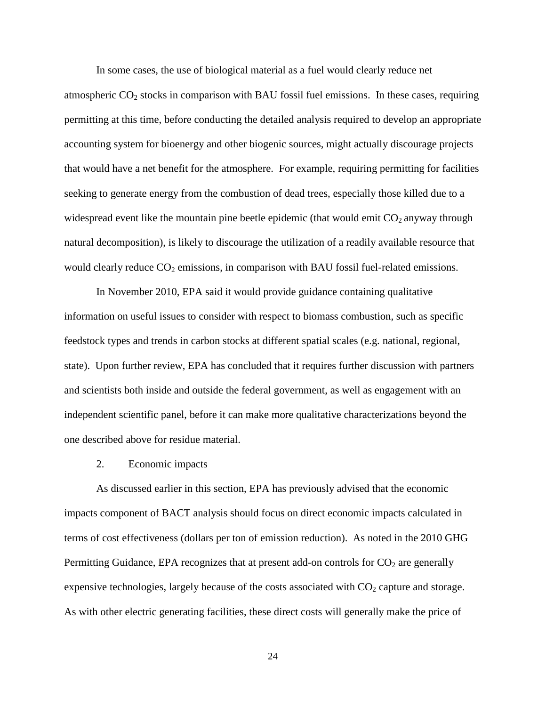In some cases, the use of biological material as a fuel would clearly reduce net atmospheric  $CO_2$  stocks in comparison with BAU fossil fuel emissions. In these cases, requiring permitting at this time, before conducting the detailed analysis required to develop an appropriate accounting system for bioenergy and other biogenic sources, might actually discourage projects that would have a net benefit for the atmosphere. For example, requiring permitting for facilities seeking to generate energy from the combustion of dead trees, especially those killed due to a widespread event like the mountain pine beetle epidemic (that would emit  $CO_2$  anyway through natural decomposition), is likely to discourage the utilization of a readily available resource that would clearly reduce  $CO<sub>2</sub>$  emissions, in comparison with BAU fossil fuel-related emissions.

In November 2010, EPA said it would provide guidance containing qualitative information on useful issues to consider with respect to biomass combustion, such as specific feedstock types and trends in carbon stocks at different spatial scales (e.g. national, regional, state). Upon further review, EPA has concluded that it requires further discussion with partners and scientists both inside and outside the federal government, as well as engagement with an independent scientific panel, before it can make more qualitative characterizations beyond the one described above for residue material.

#### 2. Economic impacts

As discussed earlier in this section, EPA has previously advised that the economic impacts component of BACT analysis should focus on direct economic impacts calculated in terms of cost effectiveness (dollars per ton of emission reduction). As noted in the 2010 GHG Permitting Guidance, EPA recognizes that at present add-on controls for  $CO<sub>2</sub>$  are generally expensive technologies, largely because of the costs associated with  $CO<sub>2</sub>$  capture and storage. As with other electric generating facilities, these direct costs will generally make the price of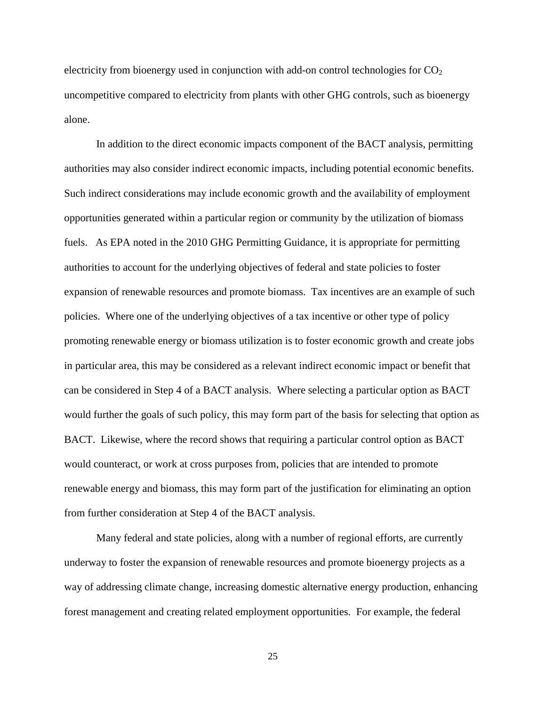electricity from bioenergy used in conjunction with add-on control technologies for  $CO<sub>2</sub>$ uncompetitive compared to electricity from plants with other GHG controls, such as bioenergy alone.

In addition to the direct economic impacts component of the BACT analysis, permitting authorities may also consider indirect economic impacts, including potential economic benefits. Such indirect considerations may include economic growth and the availability of employment opportunities generated within a particular region or community by the utilization of biomass fuels. As EPA noted in the 2010 GHG Permitting Guidance, it is appropriate for permitting authorities to account for the underlying objectives of federal and state policies to foster expansion of renewable resources and promote biomass. Tax incentives are an example of such policies. Where one of the underlying objectives of a tax incentive or other type of policy promoting renewable energy or biomass utilization is to foster economic growth and create jobs in particular area, this may be considered as a relevant indirect economic impact or benefit that can be considered in Step 4 of a BACT analysis. Where selecting a particular option as BACT would further the goals of such policy, this may form part of the basis for selecting that option as BACT. Likewise, where the record shows that requiring a particular control option as BACT would counteract, or work at cross purposes from, policies that are intended to promote renewable energy and biomass, this may form part of the justification for eliminating an option from further consideration at Step 4 of the BACT analysis.

Many federal and state policies, along with a number of regional efforts, are currently underway to foster the expansion of renewable resources and promote bioenergy projects as a way of addressing climate change, increasing domestic alternative energy production, enhancing forest management and creating related employment opportunities. For example, the federal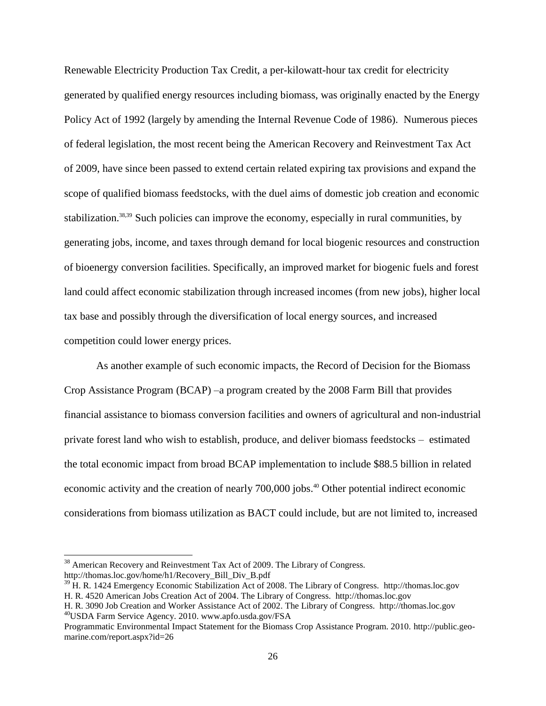Renewable Electricity Production Tax Credit, a per-kilowatt-hour tax credit for electricity generated by qualified energy resources including biomass, was originally enacted by the Energy Policy Act of 1992 (largely by amending the Internal Revenue Code of 1986). Numerous pieces of federal legislation, the most recent being the American Recovery and Reinvestment Tax Act of 2009, have since been passed to extend certain related expiring tax provisions and expand the scope of qualified biomass feedstocks, with the duel aims of domestic job creation and economic stabilization.<sup>38,39</sup> Such policies can improve the economy, especially in rural communities, by generating jobs, income, and taxes through demand for local biogenic resources and construction of bioenergy conversion facilities. Specifically, an improved market for biogenic fuels and forest land could affect economic stabilization through increased incomes (from new jobs), higher local tax base and possibly through the diversification of local energy sources, and increased competition could lower energy prices.

As another example of such economic impacts, the Record of Decision for the Biomass Crop Assistance Program (BCAP) –a program created by the 2008 Farm Bill that provides financial assistance to biomass conversion facilities and owners of agricultural and non-industrial private forest land who wish to establish, produce, and deliver biomass feedstocks – estimated the total economic impact from broad BCAP implementation to include \$88.5 billion in related economic activity and the creation of nearly 700,000 jobs.<sup>40</sup> Other potential indirect economic considerations from biomass utilization as BACT could include, but are not limited to, increased

 $\overline{a}$ 

 $38$  American Recovery and Reinvestment Tax Act of 2009. The Library of Congress. http://thomas.loc.gov/home/h1/Recovery\_Bill\_Div\_B.pdf

 $39$  H. R. 1424 Emergency Economic Stabilization Act of 2008. The Library of Congress. http://thomas.loc.gov H. R. 4520 American Jobs Creation Act of 2004. The Library of Congress. http://thomas.loc.gov

H. R. 3090 Job Creation and Worker Assistance Act of 2002. The Library of Congress. http://thomas.loc.gov <sup>40</sup>USDA Farm Service Agency. 2010. www.apfo.usda.gov/FSA

Programmatic Environmental Impact Statement for the Biomass Crop Assistance Program. 2010. http://public.geomarine.com/report.aspx?id=26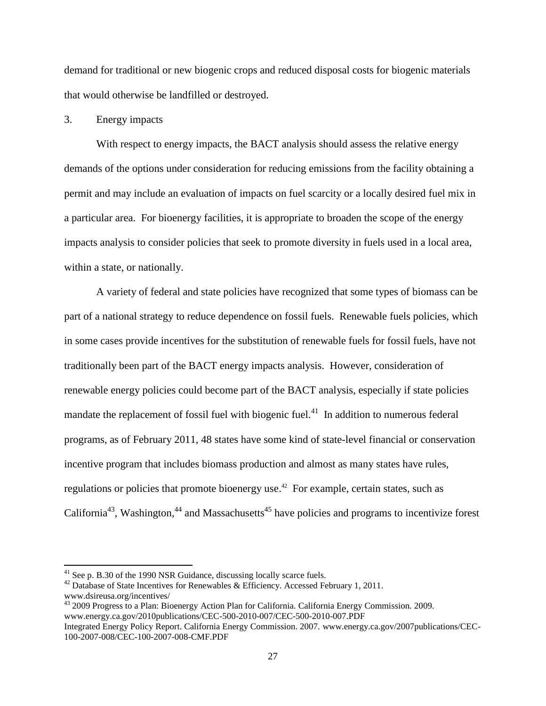demand for traditional or new biogenic crops and reduced disposal costs for biogenic materials that would otherwise be landfilled or destroyed.

## 3. Energy impacts

With respect to energy impacts, the BACT analysis should assess the relative energy demands of the options under consideration for reducing emissions from the facility obtaining a permit and may include an evaluation of impacts on fuel scarcity or a locally desired fuel mix in a particular area. For bioenergy facilities, it is appropriate to broaden the scope of the energy impacts analysis to consider policies that seek to promote diversity in fuels used in a local area, within a state, or nationally.

A variety of federal and state policies have recognized that some types of biomass can be part of a national strategy to reduce dependence on fossil fuels. Renewable fuels policies, which in some cases provide incentives for the substitution of renewable fuels for fossil fuels, have not traditionally been part of the BACT energy impacts analysis. However, consideration of renewable energy policies could become part of the BACT analysis, especially if state policies mandate the replacement of fossil fuel with biogenic fuel.<sup>41</sup> In addition to numerous federal programs, as of February 2011, 48 states have some kind of state-level financial or conservation incentive program that includes biomass production and almost as many states have rules, regulations or policies that promote bioenergy use.<sup>42</sup> For example, certain states, such as California<sup>43</sup>, Washington, <sup>44</sup> and Massachusetts<sup>45</sup> have policies and programs to incentivize forest

<sup>&</sup>lt;sup>41</sup> See p. B.30 of the 1990 NSR Guidance, discussing locally scarce fuels.

 $42$  Database of State Incentives for Renewables & Efficiency. Accessed February 1, 2011. www.dsireusa.org/incentives/

<sup>&</sup>lt;sup>43</sup> 2009 Progress to a Plan: Bioenergy Action Plan for California. California Energy Commission. 2009. www.energy.ca.gov/2010publications/CEC-500-2010-007/CEC-500-2010-007.PDF

Integrated Energy Policy Report. California Energy Commission. 2007. [www.energy.ca.gov/2007publications/CEC-](http://www.energy.ca.gov/2007publications/CEC-100-2007-008/CEC-100-2007-008-CMF.PDF)[100-2007-008/CEC-100-2007-008-CMF.PDF](http://www.energy.ca.gov/2007publications/CEC-100-2007-008/CEC-100-2007-008-CMF.PDF)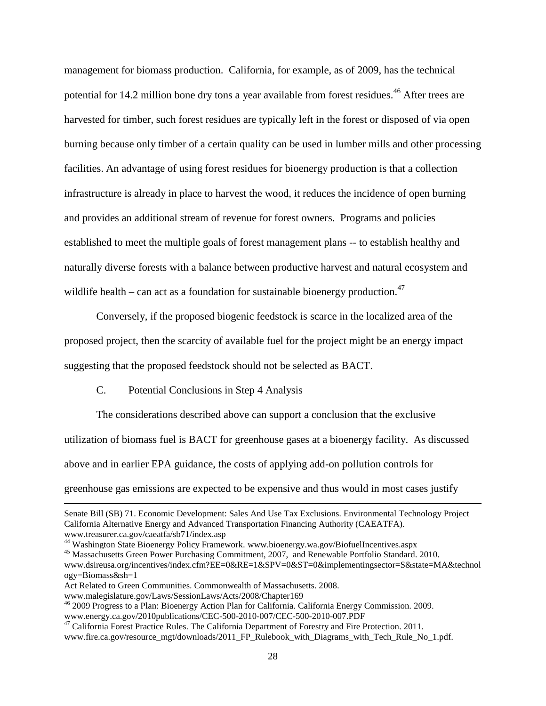management for biomass production. California, for example, as of 2009, has the technical potential for 14.2 million bone dry tons a year available from forest residues.<sup>46</sup> After trees are harvested for timber, such forest residues are typically left in the forest or disposed of via open burning because only timber of a certain quality can be used in lumber mills and other processing facilities. An advantage of using forest residues for bioenergy production is that a collection infrastructure is already in place to harvest the wood, it reduces the incidence of open burning and provides an additional stream of revenue for forest owners. Programs and policies established to meet the multiple goals of forest management plans -- to establish healthy and naturally diverse forests with a balance between productive harvest and natural ecosystem and wildlife health – can act as a foundation for sustainable bioenergy production.<sup>47</sup>

Conversely, if the proposed biogenic feedstock is scarce in the localized area of the proposed project, then the scarcity of available fuel for the project might be an energy impact suggesting that the proposed feedstock should not be selected as BACT.

C. Potential Conclusions in Step 4 Analysis

The considerations described above can support a conclusion that the exclusive utilization of biomass fuel is BACT for greenhouse gases at a bioenergy facility. As discussed above and in earlier EPA guidance, the costs of applying add-on pollution controls for greenhouse gas emissions are expected to be expensive and thus would in most cases justify

Senate Bill (SB) 71. Economic Development: Sales And Use Tax Exclusions. Environmental Technology Project California Alternative Energy and Advanced Transportation Financing Authority (CAEATFA). www.treasurer.ca.gov/caeatfa/sb71/index.asp

<sup>44</sup> Washington State Bioenergy Policy Framework. www.bioenergy.wa.gov/BiofuelIncentives.aspx

<sup>45</sup> Massachusetts Green Power Purchasing Commitment, 2007, and Renewable Portfolio Standard. 2010.

www.dsireusa.org/incentives/index.cfm?EE=0&RE=1&SPV=0&ST=0&implementingsector=S&state=MA&technol ogy=Biomass&sh=1

Act Related to Green Communities. Commonwealth of Massachusetts. 2008.

www.malegislature.gov/Laws/SessionLaws/Acts/2008/Chapter169

<sup>46</sup> 2009 Progress to a Plan: Bioenergy Action Plan for California. California Energy Commission. 2009. www.energy.ca.gov/2010publications/CEC-500-2010-007/CEC-500-2010-007.PDF

<sup>&</sup>lt;sup>47</sup> California Forest Practice Rules. The California Department of Forestry and Fire Protection. 2011. www.fire.ca.gov/resource\_mgt/downloads/2011\_FP\_Rulebook\_with\_Diagrams\_with\_Tech\_Rule\_No\_1.pdf.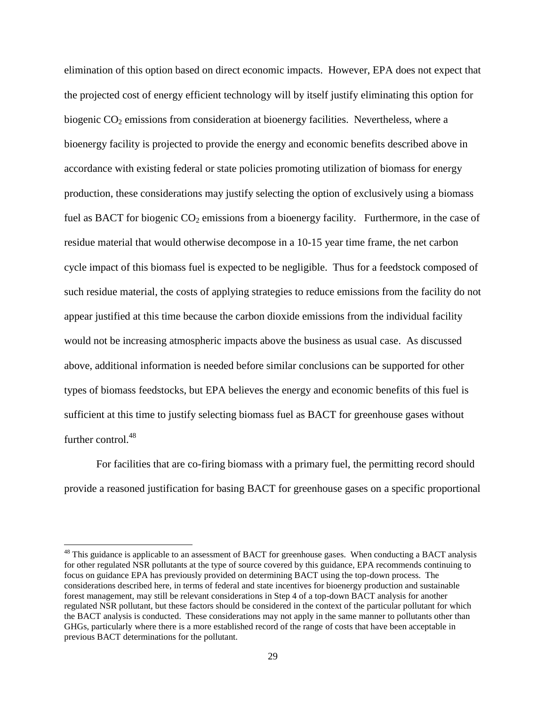elimination of this option based on direct economic impacts. However, EPA does not expect that the projected cost of energy efficient technology will by itself justify eliminating this option for biogenic  $CO<sub>2</sub>$  emissions from consideration at bioenergy facilities. Nevertheless, where a bioenergy facility is projected to provide the energy and economic benefits described above in accordance with existing federal or state policies promoting utilization of biomass for energy production, these considerations may justify selecting the option of exclusively using a biomass fuel as BACT for biogenic  $CO_2$  emissions from a bioenergy facility. Furthermore, in the case of residue material that would otherwise decompose in a 10-15 year time frame, the net carbon cycle impact of this biomass fuel is expected to be negligible. Thus for a feedstock composed of such residue material, the costs of applying strategies to reduce emissions from the facility do not appear justified at this time because the carbon dioxide emissions from the individual facility would not be increasing atmospheric impacts above the business as usual case. As discussed above, additional information is needed before similar conclusions can be supported for other types of biomass feedstocks, but EPA believes the energy and economic benefits of this fuel is sufficient at this time to justify selecting biomass fuel as BACT for greenhouse gases without further control.<sup>48</sup>

For facilities that are co-firing biomass with a primary fuel, the permitting record should provide a reasoned justification for basing BACT for greenhouse gases on a specific proportional

<sup>&</sup>lt;sup>48</sup> This guidance is applicable to an assessment of BACT for greenhouse gases. When conducting a BACT analysis for other regulated NSR pollutants at the type of source covered by this guidance, EPA recommends continuing to focus on guidance EPA has previously provided on determining BACT using the top-down process. The considerations described here, in terms of federal and state incentives for bioenergy production and sustainable forest management, may still be relevant considerations in Step 4 of a top-down BACT analysis for another regulated NSR pollutant, but these factors should be considered in the context of the particular pollutant for which the BACT analysis is conducted. These considerations may not apply in the same manner to pollutants other than GHGs, particularly where there is a more established record of the range of costs that have been acceptable in previous BACT determinations for the pollutant.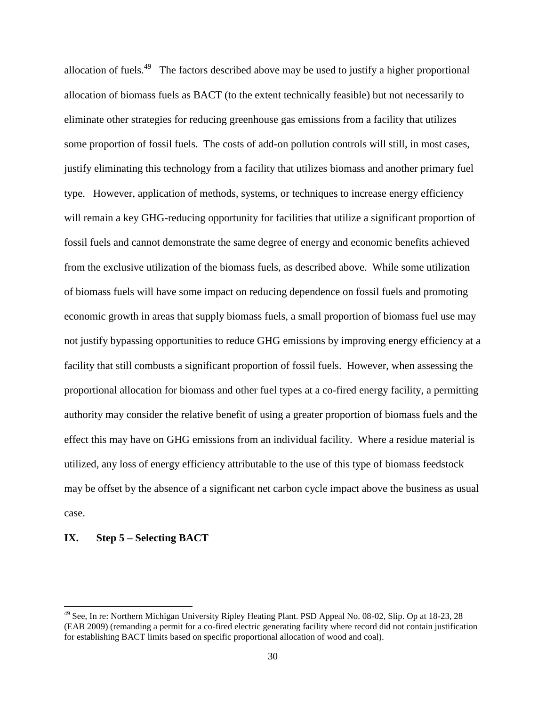allocation of fuels.<sup>49</sup> The factors described above may be used to justify a higher proportional allocation of biomass fuels as BACT (to the extent technically feasible) but not necessarily to eliminate other strategies for reducing greenhouse gas emissions from a facility that utilizes some proportion of fossil fuels. The costs of add-on pollution controls will still, in most cases, justify eliminating this technology from a facility that utilizes biomass and another primary fuel type. However, application of methods, systems, or techniques to increase energy efficiency will remain a key GHG-reducing opportunity for facilities that utilize a significant proportion of fossil fuels and cannot demonstrate the same degree of energy and economic benefits achieved from the exclusive utilization of the biomass fuels, as described above. While some utilization of biomass fuels will have some impact on reducing dependence on fossil fuels and promoting economic growth in areas that supply biomass fuels, a small proportion of biomass fuel use may not justify bypassing opportunities to reduce GHG emissions by improving energy efficiency at a facility that still combusts a significant proportion of fossil fuels. However, when assessing the proportional allocation for biomass and other fuel types at a co-fired energy facility, a permitting authority may consider the relative benefit of using a greater proportion of biomass fuels and the effect this may have on GHG emissions from an individual facility. Where a residue material is utilized, any loss of energy efficiency attributable to the use of this type of biomass feedstock may be offset by the absence of a significant net carbon cycle impact above the business as usual case.

## **IX. Step 5 – Selecting BACT**

<sup>&</sup>lt;sup>49</sup> See, In re: Northern Michigan University Ripley Heating Plant. PSD Appeal No. 08-02, Slip. Op at 18-23, 28 (EAB 2009) (remanding a permit for a co-fired electric generating facility where record did not contain justification for establishing BACT limits based on specific proportional allocation of wood and coal).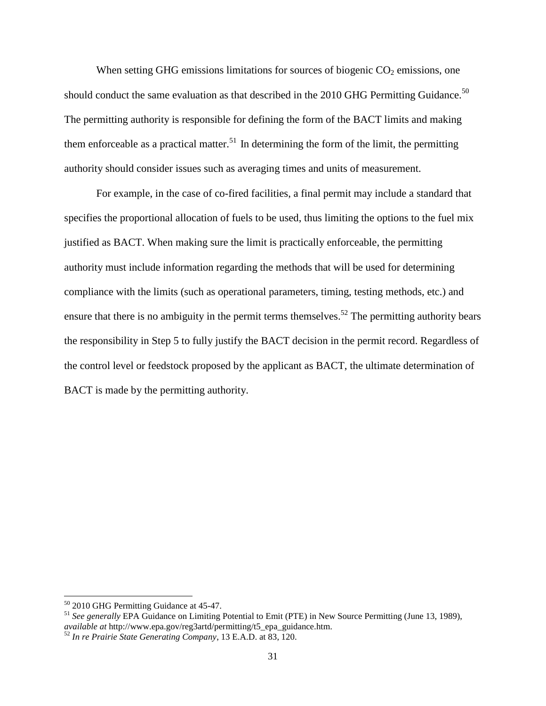When setting GHG emissions limitations for sources of biogenic  $CO<sub>2</sub>$  emissions, one should conduct the same evaluation as that described in the 2010 GHG Permitting Guidance.<sup>50</sup> The permitting authority is responsible for defining the form of the BACT limits and making them enforceable as a practical matter.<sup>51</sup> In determining the form of the limit, the permitting authority should consider issues such as averaging times and units of measurement.

For example, in the case of co-fired facilities, a final permit may include a standard that specifies the proportional allocation of fuels to be used, thus limiting the options to the fuel mix justified as BACT. When making sure the limit is practically enforceable, the permitting authority must include information regarding the methods that will be used for determining compliance with the limits (such as operational parameters, timing, testing methods, etc.) and ensure that there is no ambiguity in the permit terms themselves.<sup>52</sup> The permitting authority bears the responsibility in Step 5 to fully justify the BACT decision in the permit record. Regardless of the control level or feedstock proposed by the applicant as BACT, the ultimate determination of BACT is made by the permitting authority.

<sup>&</sup>lt;sup>50</sup> 2010 GHG Permitting Guidance at 45-47.

<sup>&</sup>lt;sup>51</sup> See generally EPA Guidance on Limiting Potential to Emit (PTE) in New Source Permitting (June 13, 1989), *available at* http://www.epa.gov/reg3artd/permitting/t5\_epa\_guidance.htm.

<sup>52</sup> *In re Prairie State Generating Company*, 13 E.A.D. at 83, 120.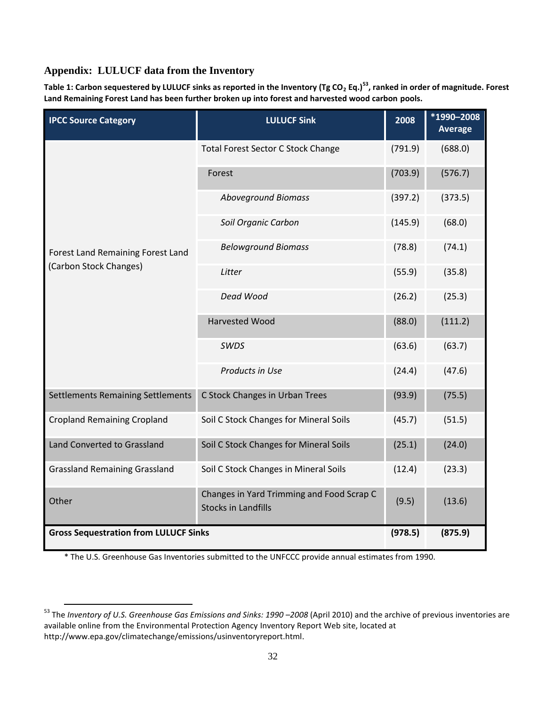## **Appendix: LULUCF data from the Inventory**

 $\overline{\phantom{a}}$ 

**Table 1: Carbon sequestered by LULUCF sinks as reported in the Inventory (Tg CO<sup>2</sup> Eq.)<sup>53</sup>, ranked in order of magnitude. Forest Land Remaining Forest Land has been further broken up into forest and harvested wood carbon pools.**

| <b>IPCC Source Category</b>                                 | <b>LULUCF Sink</b>                                                      | 2008    | *1990-2008<br><b>Average</b> |
|-------------------------------------------------------------|-------------------------------------------------------------------------|---------|------------------------------|
| Forest Land Remaining Forest Land<br>(Carbon Stock Changes) | Total Forest Sector C Stock Change                                      | (791.9) | (688.0)                      |
|                                                             | Forest                                                                  | (703.9) | (576.7)                      |
|                                                             | <b>Aboveground Biomass</b>                                              | (397.2) | (373.5)                      |
|                                                             | Soil Organic Carbon                                                     | (145.9) | (68.0)                       |
|                                                             | <b>Belowground Biomass</b>                                              | (78.8)  | (74.1)                       |
|                                                             | Litter                                                                  | (55.9)  | (35.8)                       |
|                                                             | Dead Wood                                                               | (26.2)  | (25.3)                       |
|                                                             | Harvested Wood                                                          | (88.0)  | (111.2)                      |
|                                                             | SWDS                                                                    | (63.6)  | (63.7)                       |
|                                                             | Products in Use                                                         | (24.4)  | (47.6)                       |
| <b>Settlements Remaining Settlements</b>                    | C Stock Changes in Urban Trees                                          | (93.9)  | (75.5)                       |
| <b>Cropland Remaining Cropland</b>                          | Soil C Stock Changes for Mineral Soils                                  | (45.7)  | (51.5)                       |
| Land Converted to Grassland                                 | Soil C Stock Changes for Mineral Soils                                  | (25.1)  | (24.0)                       |
| <b>Grassland Remaining Grassland</b>                        | Soil C Stock Changes in Mineral Soils                                   | (12.4)  | (23.3)                       |
| Other                                                       | Changes in Yard Trimming and Food Scrap C<br><b>Stocks in Landfills</b> | (9.5)   | (13.6)                       |
| <b>Gross Sequestration from LULUCF Sinks</b>                |                                                                         | (978.5) | (875.9)                      |

\* The U.S. Greenhouse Gas Inventories submitted to the UNFCCC provide annual estimates from 1990.

<sup>&</sup>lt;sup>53</sup> The *Inventory of U.S. Greenhouse Gas Emissions and Sinks: 1990 –2008 (April 2010) and the archive of previous inventories are* available online from the Environmental Protection Agency Inventory Report Web site, located at <http://www.epa.gov/climatechange/emissions/usinventoryreport.html>.